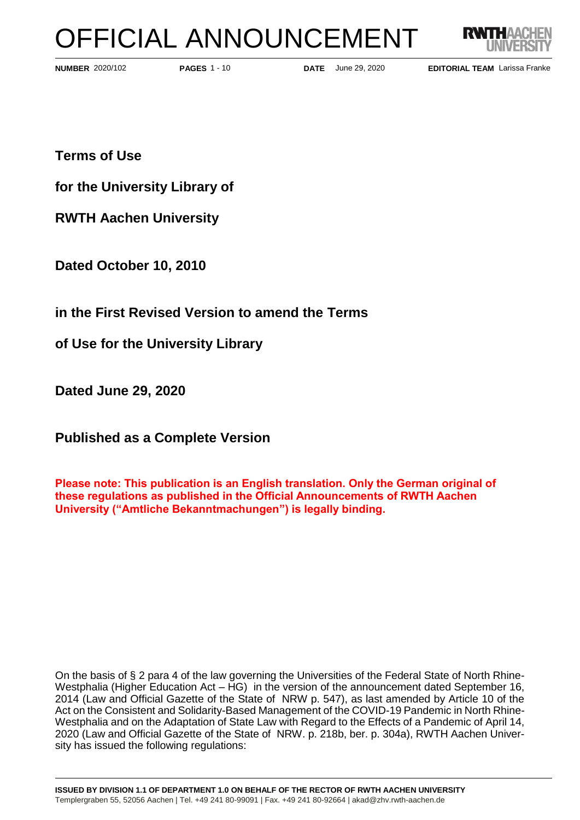# OFFICIAL ANNOUNCEMENT



**PAGES** 1 - 10

**NUMBER** 2020/102 **PAGES** 1 - 10 **DATE** June 29, 2020

**EDITORIAL TEAM** Larissa Franke

**Terms of Use** 

**for the University Library of**

**RWTH Aachen University**

**Dated October 10, 2010**

**in the First Revised Version to amend the Terms**

**of Use for the University Library** 

**Dated June 29, 2020**

**Published as a Complete Version**

**Please note: This publication is an English translation. Only the German original of these regulations as published in the Official Announcements of RWTH Aachen University ("Amtliche Bekanntmachungen") is legally binding.**

On the basis of § 2 para 4 of the law governing the Universities of the Federal State of North Rhine-Westphalia (Higher Education Act – HG) in the version of the announcement dated September 16, 2014 (Law and Official Gazette of the State of NRW p. 547), as last amended by Article 10 of the Act on the Consistent and Solidarity-Based Management of the COVID-19 Pandemic in North Rhine-Westphalia and on the Adaptation of State Law with Regard to the Effects of a Pandemic of April 14, 2020 (Law and Official Gazette of the State of NRW. p. 218b, ber. p. 304a), RWTH Aachen University has issued the following regulations: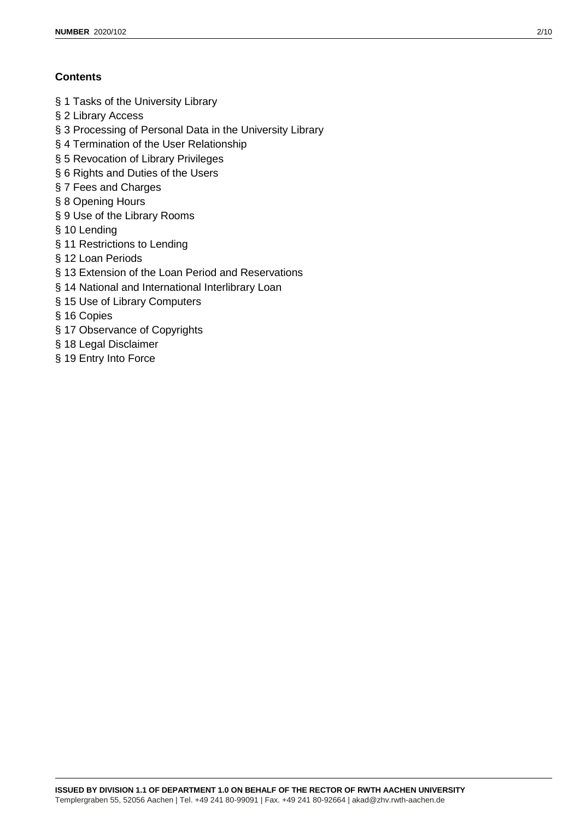## **Contents**

- § 1 Tasks of the University Library
- § 2 Library Access
- § 3 Processing of Personal Data in the University Library
- § 4 Termination of the User Relationship
- § 5 Revocation of Library Privileges
- § 6 Rights and Duties of the Users
- § 7 Fees and Charges
- § 8 Opening Hours
- § 9 Use of the Library Rooms
- § 10 Lending
- § 11 Restrictions to Lending
- § 12 Loan Periods
- § 13 Extension of the Loan Period and Reservations
- § 14 National and International Interlibrary Loan
- § 15 Use of Library Computers
- § 16 Copies
- § 17 Observance of Copyrights
- § 18 Legal Disclaimer
- § 19 Entry Into Force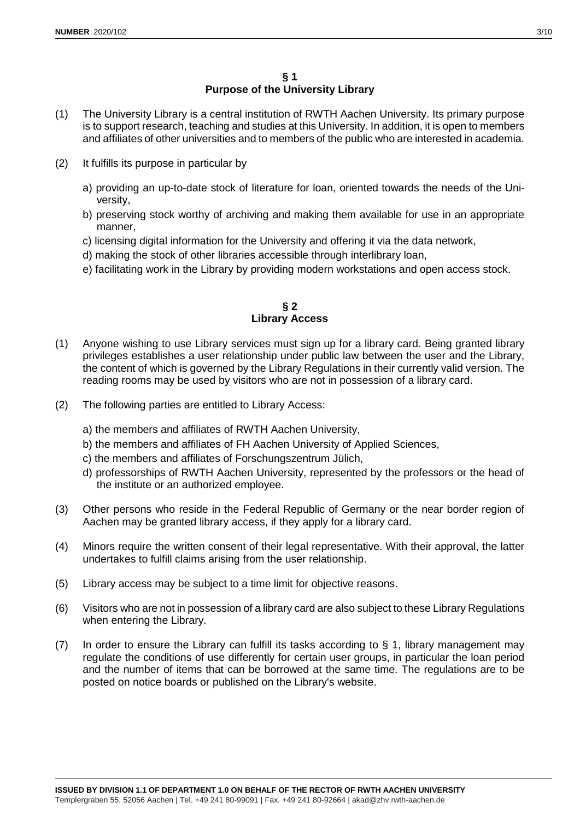### **§ 1 Purpose of the University Library**

- (1) The University Library is a central institution of RWTH Aachen University. Its primary purpose is to support research, teaching and studies at this University. In addition, it is open to members and affiliates of other universities and to members of the public who are interested in academia.
- (2) It fulfills its purpose in particular by
	- a) providing an up-to-date stock of literature for loan, oriented towards the needs of the University,
	- b) preserving stock worthy of archiving and making them available for use in an appropriate manner,
	- c) licensing digital information for the University and offering it via the data network,
	- d) making the stock of other libraries accessible through interlibrary loan,
	- e) facilitating work in the Library by providing modern workstations and open access stock.

## **§ 2 Library Access**

- (1) Anyone wishing to use Library services must sign up for a library card. Being granted library privileges establishes a user relationship under public law between the user and the Library, the content of which is governed by the Library Regulations in their currently valid version. The reading rooms may be used by visitors who are not in possession of a library card.
- (2) The following parties are entitled to Library Access:
	- a) the members and affiliates of RWTH Aachen University,
	- b) the members and affiliates of FH Aachen University of Applied Sciences,
	- c) the members and affiliates of Forschungszentrum Jülich,
	- d) professorships of RWTH Aachen University, represented by the professors or the head of the institute or an authorized employee.
- (3) Other persons who reside in the Federal Republic of Germany or the near border region of Aachen may be granted library access, if they apply for a library card.
- (4) Minors require the written consent of their legal representative. With their approval, the latter undertakes to fulfill claims arising from the user relationship.
- (5) Library access may be subject to a time limit for objective reasons.
- (6) Visitors who are not in possession of a library card are also subject to these Library Regulations when entering the Library.
- (7) In order to ensure the Library can fulfill its tasks according to § 1, library management may regulate the conditions of use differently for certain user groups, in particular the loan period and the number of items that can be borrowed at the same time. The regulations are to be posted on notice boards or published on the Library's website.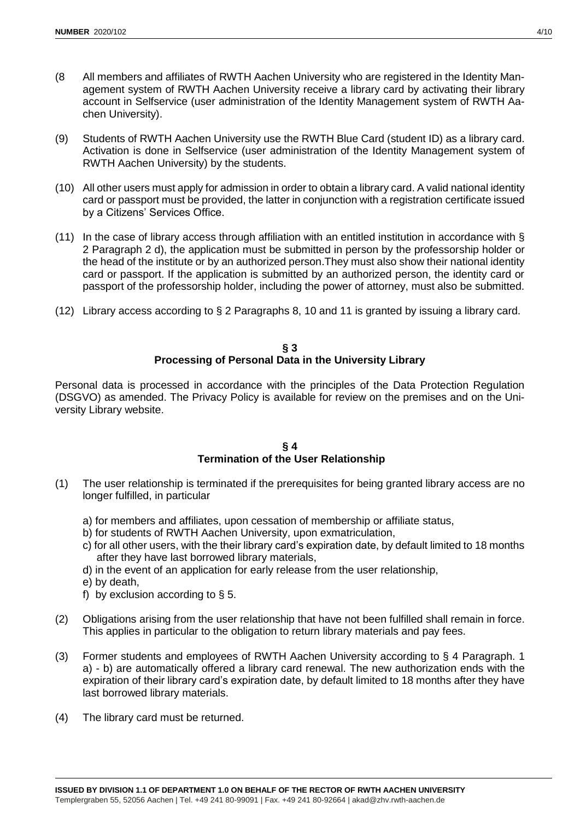- (8 All members and affiliates of RWTH Aachen University who are registered in the Identity Management system of RWTH Aachen University receive a library card by activating their library account in Selfservice (user administration of the Identity Management system of RWTH Aachen University).
- (9) Students of RWTH Aachen University use the RWTH Blue Card (student ID) as a library card. Activation is done in Selfservice (user administration of the Identity Management system of RWTH Aachen University) by the students.
- (10) All other users must apply for admission in order to obtain a library card. A valid national identity card or passport must be provided, the latter in conjunction with a registration certificate issued by a Citizens' Services Office.
- (11) In the case of library access through affiliation with an entitled institution in accordance with § 2 Paragraph 2 d), the application must be submitted in person by the professorship holder or the head of the institute or by an authorized person.They must also show their national identity card or passport. If the application is submitted by an authorized person, the identity card or passport of the professorship holder, including the power of attorney, must also be submitted.
- (12) Library access according to § 2 Paragraphs 8, 10 and 11 is granted by issuing a library card.

#### **§ 3 Processing of Personal Data in the University Library**

Personal data is processed in accordance with the principles of the Data Protection Regulation (DSGVO) as amended. The Privacy Policy is available for review on the premises and on the University Library website.

#### **§ 4 Termination of the User Relationship**

- (1) The user relationship is terminated if the prerequisites for being granted library access are no longer fulfilled, in particular
	- a) for members and affiliates, upon cessation of membership or affiliate status,
	- b) for students of RWTH Aachen University, upon exmatriculation,
	- c) for all other users, with the their library card's expiration date, by default limited to 18 months after they have last borrowed library materials,
	- d) in the event of an application for early release from the user relationship,
	- e) by death,
	- f) by exclusion according to  $\S$  5.
- (2) Obligations arising from the user relationship that have not been fulfilled shall remain in force. This applies in particular to the obligation to return library materials and pay fees.
- (3) Former students and employees of RWTH Aachen University according to § 4 Paragraph. 1 a) - b) are automatically offered a library card renewal. The new authorization ends with the expiration of their library card's expiration date, by default limited to 18 months after they have last borrowed library materials.
- (4) The library card must be returned.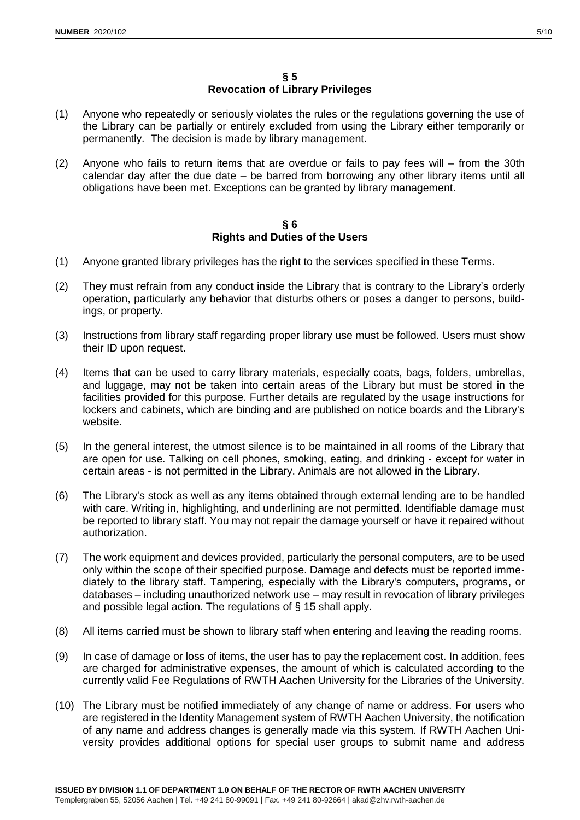## **§ 5 Revocation of Library Privileges**

- (1) Anyone who repeatedly or seriously violates the rules or the regulations governing the use of the Library can be partially or entirely excluded from using the Library either temporarily or permanently. The decision is made by library management.
- (2) Anyone who fails to return items that are overdue or fails to pay fees will from the 30th calendar day after the due date – be barred from borrowing any other library items until all obligations have been met. Exceptions can be granted by library management.

## **§ 6 Rights and Duties of the Users**

- (1) Anyone granted library privileges has the right to the services specified in these Terms.
- (2) They must refrain from any conduct inside the Library that is contrary to the Library's orderly operation, particularly any behavior that disturbs others or poses a danger to persons, buildings, or property.
- (3) Instructions from library staff regarding proper library use must be followed. Users must show their ID upon request.
- (4) Items that can be used to carry library materials, especially coats, bags, folders, umbrellas, and luggage, may not be taken into certain areas of the Library but must be stored in the facilities provided for this purpose. Further details are regulated by the usage instructions for lockers and cabinets, which are binding and are published on notice boards and the Library's website.
- (5) In the general interest, the utmost silence is to be maintained in all rooms of the Library that are open for use. Talking on cell phones, smoking, eating, and drinking - except for water in certain areas - is not permitted in the Library. Animals are not allowed in the Library.
- (6) The Library's stock as well as any items obtained through external lending are to be handled with care. Writing in, highlighting, and underlining are not permitted. Identifiable damage must be reported to library staff. You may not repair the damage yourself or have it repaired without authorization.
- (7) The work equipment and devices provided, particularly the personal computers, are to be used only within the scope of their specified purpose. Damage and defects must be reported immediately to the library staff. Tampering, especially with the Library's computers, programs, or databases – including unauthorized network use – may result in revocation of library privileges and possible legal action. The regulations of § 15 shall apply.
- (8) All items carried must be shown to library staff when entering and leaving the reading rooms.
- (9) In case of damage or loss of items, the user has to pay the replacement cost. In addition, fees are charged for administrative expenses, the amount of which is calculated according to the currently valid Fee Regulations of RWTH Aachen University for the Libraries of the University.
- (10) The Library must be notified immediately of any change of name or address. For users who are registered in the Identity Management system of RWTH Aachen University, the notification of any name and address changes is generally made via this system. If RWTH Aachen University provides additional options for special user groups to submit name and address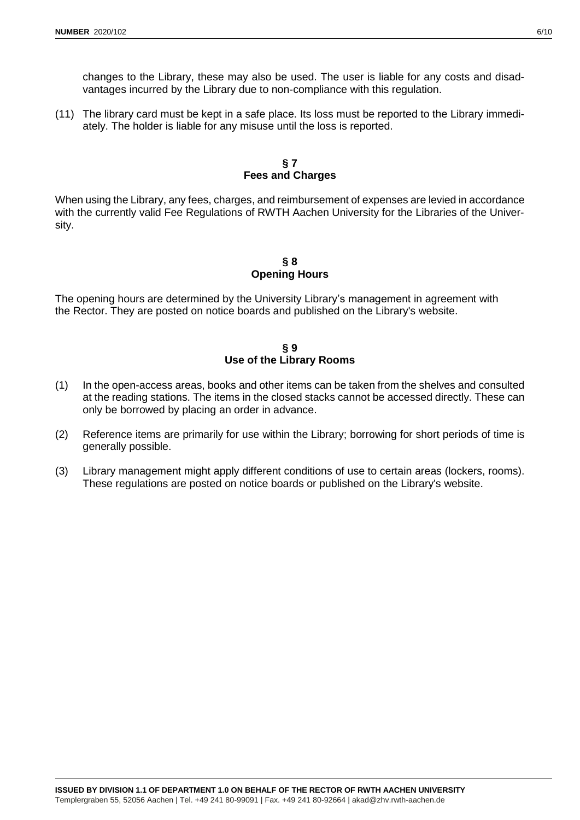changes to the Library, these may also be used. The user is liable for any costs and disadvantages incurred by the Library due to non-compliance with this regulation.

(11) The library card must be kept in a safe place. Its loss must be reported to the Library immediately. The holder is liable for any misuse until the loss is reported.

### **§ 7 Fees and Charges**

When using the Library, any fees, charges, and reimbursement of expenses are levied in accordance with the currently valid Fee Regulations of RWTH Aachen University for the Libraries of the University.

## **§ 8 Opening Hours**

The opening hours are determined by the University Library's management in agreement with the Rector. They are posted on notice boards and published on the Library's website.

### **§ 9 Use of the Library Rooms**

- (1) In the open-access areas, books and other items can be taken from the shelves and consulted at the reading stations. The items in the closed stacks cannot be accessed directly. These can only be borrowed by placing an order in advance.
- (2) Reference items are primarily for use within the Library; borrowing for short periods of time is generally possible.
- (3) Library management might apply different conditions of use to certain areas (lockers, rooms). These regulations are posted on notice boards or published on the Library's website.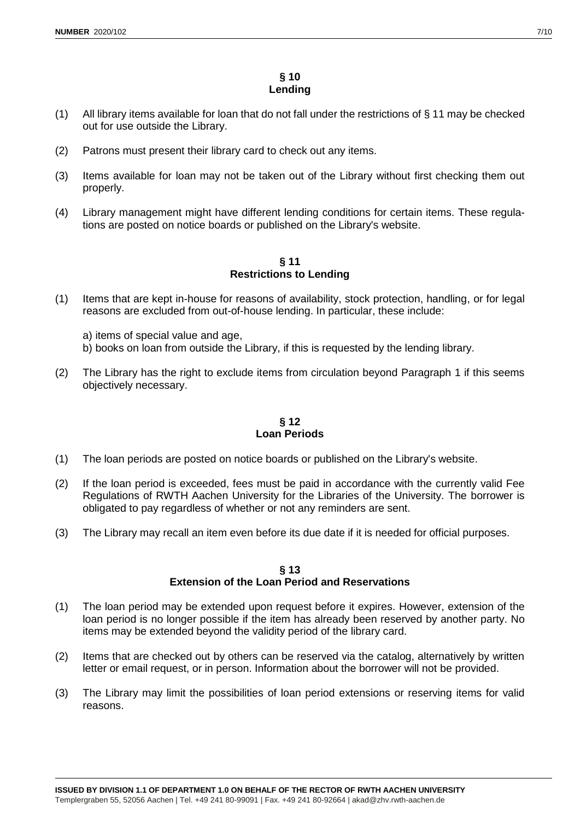## **§ 10 Lending**

- (1) All library items available for loan that do not fall under the restrictions of § 11 may be checked out for use outside the Library.
- (2) Patrons must present their library card to check out any items.
- (3) Items available for loan may not be taken out of the Library without first checking them out properly.
- (4) Library management might have different lending conditions for certain items. These regulations are posted on notice boards or published on the Library's website.

#### **§ 11 Restrictions to Lending**

(1) Items that are kept in-house for reasons of availability, stock protection, handling, or for legal reasons are excluded from out-of-house lending. In particular, these include:

a) items of special value and age, b) books on loan from outside the Library, if this is requested by the lending library.

(2) The Library has the right to exclude items from circulation beyond Paragraph 1 if this seems objectively necessary.

## **§ 12 Loan Periods**

- (1) The loan periods are posted on notice boards or published on the Library's website.
- (2) If the loan period is exceeded, fees must be paid in accordance with the currently valid Fee Regulations of RWTH Aachen University for the Libraries of the University. The borrower is obligated to pay regardless of whether or not any reminders are sent.
- (3) The Library may recall an item even before its due date if it is needed for official purposes.

#### **§ 13 Extension of the Loan Period and Reservations**

- (1) The loan period may be extended upon request before it expires. However, extension of the loan period is no longer possible if the item has already been reserved by another party. No items may be extended beyond the validity period of the library card.
- (2) Items that are checked out by others can be reserved via the catalog, alternatively by written letter or email request, or in person. Information about the borrower will not be provided.
- (3) The Library may limit the possibilities of loan period extensions or reserving items for valid reasons.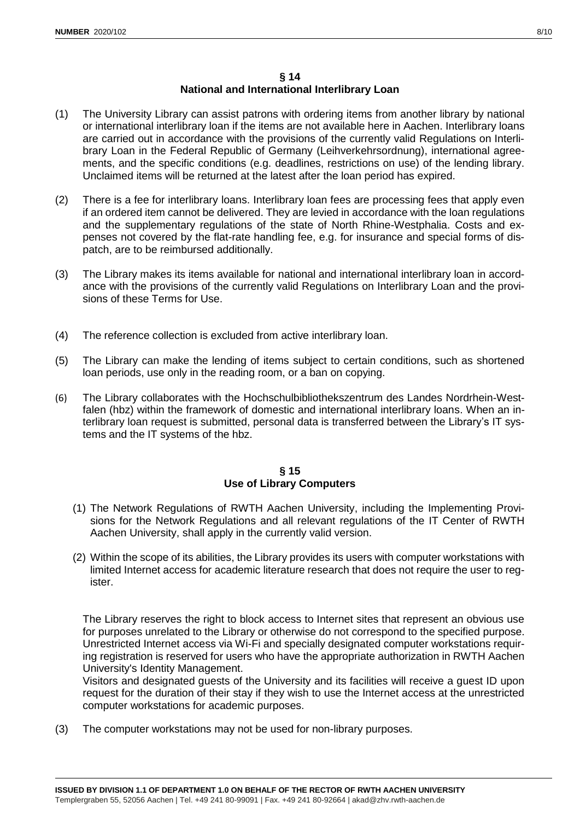## **§ 14 National and International Interlibrary Loan**

- (1) The University Library can assist patrons with ordering items from another library by national or international interlibrary loan if the items are not available here in Aachen. Interlibrary loans are carried out in accordance with the provisions of the currently valid Regulations on Interlibrary Loan in the Federal Republic of Germany (Leihverkehrsordnung), international agreements, and the specific conditions (e.g. deadlines, restrictions on use) of the lending library. Unclaimed items will be returned at the latest after the loan period has expired.
- (2) There is a fee for interlibrary loans. Interlibrary loan fees are processing fees that apply even if an ordered item cannot be delivered. They are levied in accordance with the loan regulations and the supplementary regulations of the state of North Rhine-Westphalia. Costs and expenses not covered by the flat-rate handling fee, e.g. for insurance and special forms of dispatch, are to be reimbursed additionally.
- (3) The Library makes its items available for national and international interlibrary loan in accordance with the provisions of the currently valid Regulations on Interlibrary Loan and the provisions of these Terms for Use.
- (4) The reference collection is excluded from active interlibrary loan.
- (5) The Library can make the lending of items subject to certain conditions, such as shortened loan periods, use only in the reading room, or a ban on copying.
- (6) The Library collaborates with the Hochschulbibliothekszentrum des Landes Nordrhein-Westfalen (hbz) within the framework of domestic and international interlibrary loans. When an interlibrary loan request is submitted, personal data is transferred between the Library's IT systems and the IT systems of the hbz.

#### **§ 15 Use of Library Computers**

- (1) The Network Regulations of RWTH Aachen University, including the Implementing Provisions for the Network Regulations and all relevant regulations of the IT Center of RWTH Aachen University, shall apply in the currently valid version.
- (2) Within the scope of its abilities, the Library provides its users with computer workstations with limited Internet access for academic literature research that does not require the user to register.

The Library reserves the right to block access to Internet sites that represent an obvious use for purposes unrelated to the Library or otherwise do not correspond to the specified purpose. Unrestricted Internet access via Wi-Fi and specially designated computer workstations requiring registration is reserved for users who have the appropriate authorization in RWTH Aachen University's Identity Management.

Visitors and designated guests of the University and its facilities will receive a guest ID upon request for the duration of their stay if they wish to use the Internet access at the unrestricted computer workstations for academic purposes.

(3) The computer workstations may not be used for non-library purposes.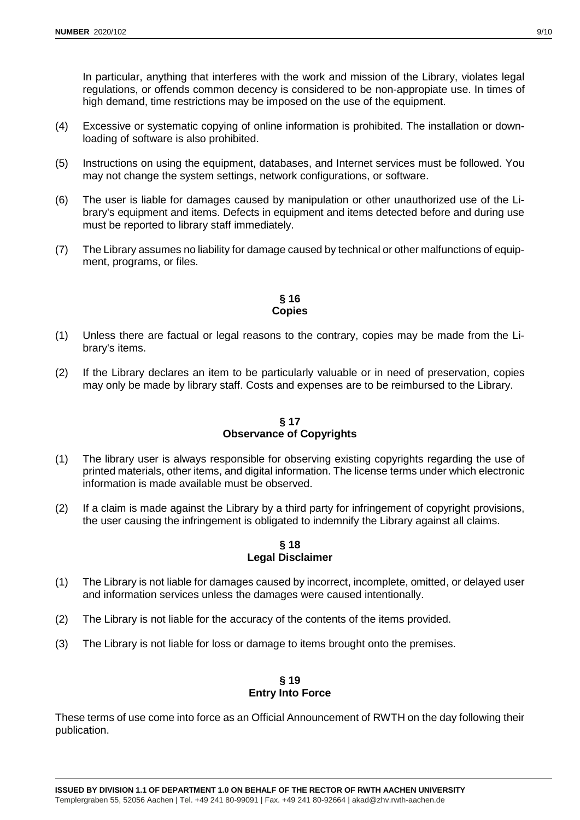In particular, anything that interferes with the work and mission of the Library, violates legal regulations, or offends common decency is considered to be non-appropiate use. In times of high demand, time restrictions may be imposed on the use of the equipment.

- (4) Excessive or systematic copying of online information is prohibited. The installation or downloading of software is also prohibited.
- (5) Instructions on using the equipment, databases, and Internet services must be followed. You may not change the system settings, network configurations, or software.
- (6) The user is liable for damages caused by manipulation or other unauthorized use of the Library's equipment and items. Defects in equipment and items detected before and during use must be reported to library staff immediately.
- (7) The Library assumes no liability for damage caused by technical or other malfunctions of equipment, programs, or files.

## **§ 16 Copies**

- (1) Unless there are factual or legal reasons to the contrary, copies may be made from the Library's items.
- (2) If the Library declares an item to be particularly valuable or in need of preservation, copies may only be made by library staff. Costs and expenses are to be reimbursed to the Library.

## **§ 17 Observance of Copyrights**

- (1) The library user is always responsible for observing existing copyrights regarding the use of printed materials, other items, and digital information. The license terms under which electronic information is made available must be observed.
- (2) If a claim is made against the Library by a third party for infringement of copyright provisions, the user causing the infringement is obligated to indemnify the Library against all claims.

## **§ 18 Legal Disclaimer**

- (1) The Library is not liable for damages caused by incorrect, incomplete, omitted, or delayed user and information services unless the damages were caused intentionally.
- (2) The Library is not liable for the accuracy of the contents of the items provided.
- (3) The Library is not liable for loss or damage to items brought onto the premises.

## **§ 19 Entry Into Force**

These terms of use come into force as an Official Announcement of RWTH on the day following their publication.